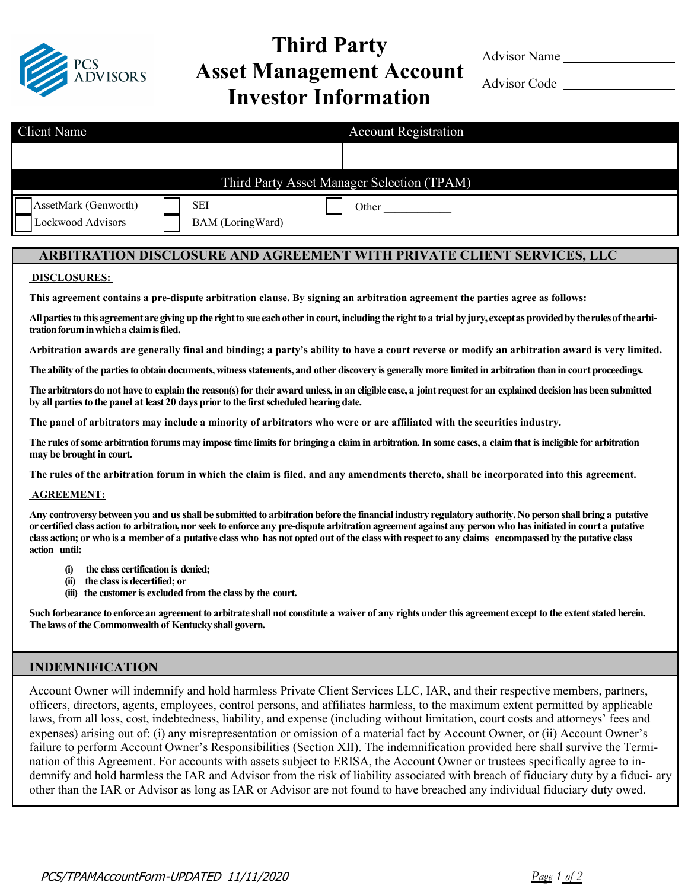

## **Third Party Asset Management Account Investor Information**

Advisor Name

Advisor Code

| Investor Information                                                                                                                                   |                                                                                                                                                                                                                                                                                                                                                                                                                                                                                   |  |
|--------------------------------------------------------------------------------------------------------------------------------------------------------|-----------------------------------------------------------------------------------------------------------------------------------------------------------------------------------------------------------------------------------------------------------------------------------------------------------------------------------------------------------------------------------------------------------------------------------------------------------------------------------|--|
| <b>Client Name</b>                                                                                                                                     | <b>Account Registration</b>                                                                                                                                                                                                                                                                                                                                                                                                                                                       |  |
|                                                                                                                                                        |                                                                                                                                                                                                                                                                                                                                                                                                                                                                                   |  |
| Third Party Asset Manager Selection (TPAM)                                                                                                             |                                                                                                                                                                                                                                                                                                                                                                                                                                                                                   |  |
| AssetMark (Genworth)<br><b>SEI</b><br>Lockwood Advisors<br>BAM (LoringWard)                                                                            | Other                                                                                                                                                                                                                                                                                                                                                                                                                                                                             |  |
|                                                                                                                                                        | ARBITRATION DISCLOSURE AND AGREEMENT WITH PRIVATE CLIENT SERVICES, LLC                                                                                                                                                                                                                                                                                                                                                                                                            |  |
| <b>DISCLOSURES:</b>                                                                                                                                    |                                                                                                                                                                                                                                                                                                                                                                                                                                                                                   |  |
|                                                                                                                                                        | This agreement contains a pre-dispute arbitration clause. By signing an arbitration agreement the parties agree as follows:                                                                                                                                                                                                                                                                                                                                                       |  |
| tration forum in which a claim is filed.                                                                                                               | All parties to this agreement are giving up the right to sue each other in court, including the right to a trial by jury, except as provided by the rules of the arbi-                                                                                                                                                                                                                                                                                                            |  |
|                                                                                                                                                        | Arbitration awards are generally final and binding; a party's ability to have a court reverse or modify an arbitration award is very limited.                                                                                                                                                                                                                                                                                                                                     |  |
|                                                                                                                                                        | The ability of the parties to obtain documents, witness statements, and other discovery is generally more limited in arbitration than in court proceedings.                                                                                                                                                                                                                                                                                                                       |  |
| by all parties to the panel at least 20 days prior to the first scheduled hearing date.                                                                | The arbitrators do not have to explain the reason(s) for their award unless, in an eligible case, a joint request for an explained decision has been submitted                                                                                                                                                                                                                                                                                                                    |  |
|                                                                                                                                                        | The panel of arbitrators may include a minority of arbitrators who were or are affiliated with the securities industry.                                                                                                                                                                                                                                                                                                                                                           |  |
| may be brought in court.                                                                                                                               | The rules of some arbitration forums may impose time limits for bringing a claim in arbitration. In some cases, a claim that is ineligible for arbitration                                                                                                                                                                                                                                                                                                                        |  |
|                                                                                                                                                        | The rules of the arbitration forum in which the claim is filed, and any amendments thereto, shall be incorporated into this agreement.                                                                                                                                                                                                                                                                                                                                            |  |
| <b>AGREEMENT:</b>                                                                                                                                      |                                                                                                                                                                                                                                                                                                                                                                                                                                                                                   |  |
| action until:                                                                                                                                          | Any controversy between you and us shall be submitted to arbitration before the financial industry regulatory authority. No person shall bring a putative<br>or certified class action to arbitration, nor seek to enforce any pre-dispute arbitration agreement against any person who has initiated in court a putative<br>class action; or who is a member of a putative class who has not opted out of the class with respect to any claims encompassed by the putative class |  |
| the class certification is denied;<br>(i)<br>the class is decertified; or<br>$\rm (ii)$<br>(iii) the customer is excluded from the class by the court. |                                                                                                                                                                                                                                                                                                                                                                                                                                                                                   |  |
| The laws of the Commonwealth of Kentucky shall govern.                                                                                                 | Such forbearance to enforce an agreement to arbitrate shall not constitute a waiver of any rights under this agreement except to the extent stated herein.                                                                                                                                                                                                                                                                                                                        |  |
| <b>INDEMNIFICATION</b>                                                                                                                                 |                                                                                                                                                                                                                                                                                                                                                                                                                                                                                   |  |
|                                                                                                                                                        | Account Owner will indemnify and hold harmless Private Client Services LLC, IAR, and their respective members, partners,<br>officers, directors, agents, employees, control persons, and affiliates harmless, to the maximum extent permitted by applicable<br>laws, from all loss, cost, indebtedness, liability, and expense (including without limitation, court costs and attorneys' fees and                                                                                 |  |

laws, from all loss, cost, indebtedness, liability, and expense (including without limitation, court costs and attorneys' fees and expenses) arising out of: (i) any misrepresentation or omission of a material fact by Account Owner, or (ii) Account Owner's failure to perform Account Owner's Responsibilities (Section XII). The indemnification provided here shall survive the Termination of this Agreement. For accounts with assets subject to ERISA, the Account Owner or trustees specifically agree to indemnify and hold harmless the IAR and Advisor from the risk of liability associated with breach of fiduciary duty by a fiduci- ary other than the IAR or Advisor as long as IAR or Advisor are not found to have breached any individual fiduciary duty owed.